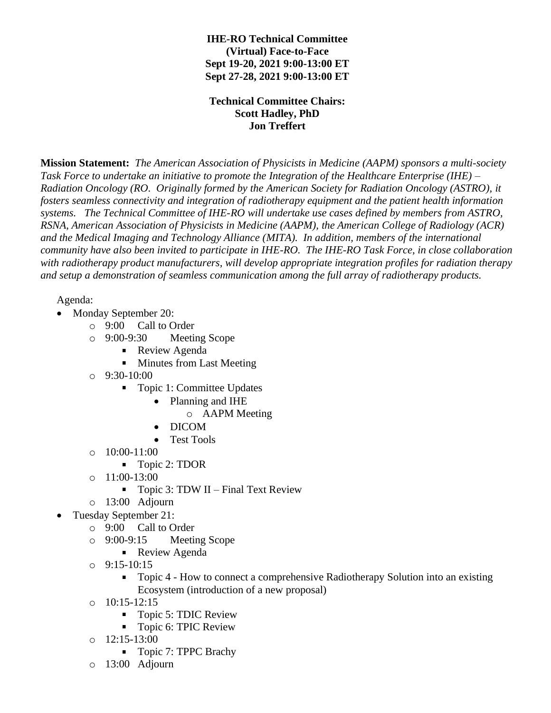## **IHE-RO Technical Committee (Virtual) Face-to-Face Sept 19-20, 2021 9:00-13:00 ET Sept 27-28, 2021 9:00-13:00 ET**

## **Technical Committee Chairs: Scott Hadley, PhD Jon Treffert**

**Mission Statement:** *The American Association of Physicists in Medicine (AAPM) sponsors a multi-society Task Force to undertake an initiative to promote the Integration of the Healthcare Enterprise (IHE) – Radiation Oncology (RO. Originally formed by the American Society for Radiation Oncology (ASTRO), it fosters seamless connectivity and integration of radiotherapy equipment and the patient health information systems. The Technical Committee of IHE-RO will undertake use cases defined by members from ASTRO, RSNA, American Association of Physicists in Medicine (AAPM), the American College of Radiology (ACR) and the Medical [Imaging](mailto:I@medicalimaging.orgmging) and Technology Alliance (MITA). In addition, members of the international community have also been invited to participate in IHE-RO. The IHE-RO Task Force, in close collaboration with radiotherapy product manufacturers, will develop appropriate integration profiles for radiation therapy and setup a demonstration of seamless communication among the full array of radiotherapy products.*

Agenda:

- Monday September 20:
	- o 9:00 Call to Order
	- o 9:00-9:30 Meeting Scope
		- Review Agenda
			- Minutes from Last Meeting  $\blacksquare$
	- o 9:30-10:00
		- Topic 1: Committee Updates
			- Planning and IHE
				- o AAPM Meeting
			- DICOM
			- Test Tools
	- $\circ$  10:00-11:00
		- Topic 2: TDOR
	- o 11:00-13:00
		- Topic 3: TDW II Final Text Review
	- o 13:00 Adjourn
- Tuesday September 21:
	- o 9:00 Call to Order
	- o 9:00-9:15 Meeting Scope
		- Review Agenda
	- $O$  9:15-10:15
		- Topic 4 How to connect a comprehensive Radiotherapy Solution into an existing Ecosystem (introduction of a new proposal)
	- $\circ$  10:15-12:15
		- Topic 5: TDIC Review  $\blacksquare$
		- Topic 6: TPIC Review
	- $O = 12:15-13:00$ 
		- $\blacksquare$ Topic 7: TPPC Brachy
	- o 13:00 Adjourn